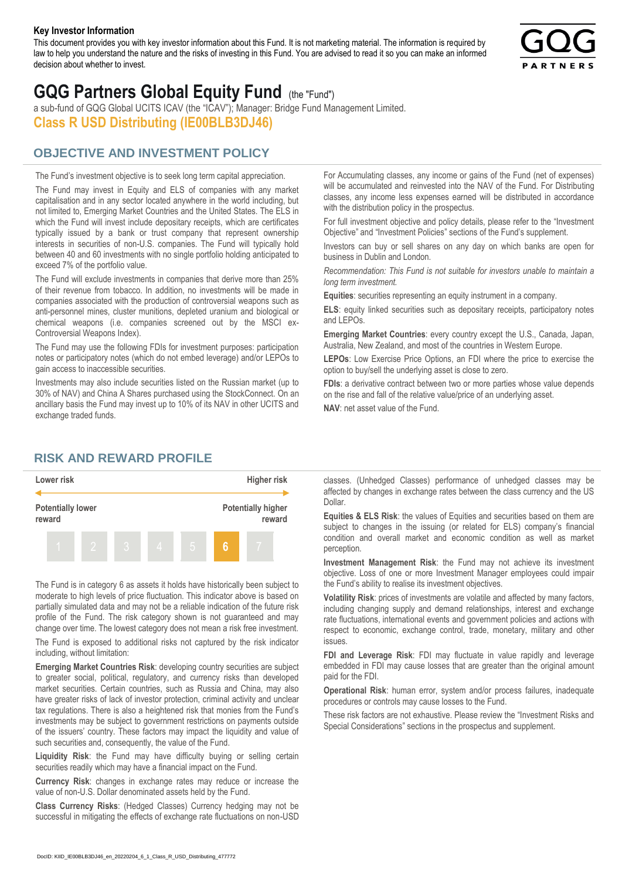#### **Key Investor Information**

This document provides you with key investor information about this Fund. It is not marketing material. The information is required by law to help you understand the nature and the risks of investing in this Fund. You are advised to read it so you can make an informed decision about whether to invest.



# **GQG Partners Global Equity Fund** (the "Fund")

a sub-fund of GQG Global UCITS ICAV (the "ICAV"); Manager: Bridge Fund Management Limited. **Class R USD Distributing (IE00BLB3DJ46)**

# **OBJECTIVE AND INVESTMENT POLICY**

The Fund's investment objective is to seek long term capital appreciation. The Fund may invest in Equity and ELS of companies with any market capitalisation and in any sector located anywhere in the world including, but not limited to, Emerging Market Countries and the United States. The ELS in which the Fund will invest include depositary receipts, which are certificates typically issued by a bank or trust company that represent ownership interests in securities of non-U.S. companies. The Fund will typically hold between 40 and 60 investments with no single portfolio holding anticipated to exceed 7% of the portfolio value.

The Fund will exclude investments in companies that derive more than 25% of their revenue from tobacco. In addition, no investments will be made in companies associated with the production of controversial weapons such as anti-personnel mines, cluster munitions, depleted uranium and biological or chemical weapons (i.e. companies screened out by the MSCI ex-Controversial Weapons Index).

The Fund may use the following FDIs for investment purposes: participation notes or participatory notes (which do not embed leverage) and/or LEPOs to gain access to inaccessible securities.

Investments may also include securities listed on the Russian market (up to 30% of NAV) and China A Shares purchased using the StockConnect. On an ancillary basis the Fund may invest up to 10% of its NAV in other UCITS and exchange traded funds.

For Accumulating classes, any income or gains of the Fund (net of expenses) will be accumulated and reinvested into the NAV of the Fund. For Distributing classes, any income less expenses earned will be distributed in accordance with the distribution policy in the prospectus.

For full investment objective and policy details, please refer to the "Investment Objective" and "Investment Policies" sections of the Fund's supplement.

Investors can buy or sell shares on any day on which banks are open for business in Dublin and London.

*Recommendation: This Fund is not suitable for investors unable to maintain a long term investment.*

**Equities**: securities representing an equity instrument in a company.

**ELS**: equity linked securities such as depositary receipts, participatory notes and LEPOs.

**Emerging Market Countries**: every country except the U.S., Canada, Japan, Australia, New Zealand, and most of the countries in Western Europe.

**LEPOs**: Low Exercise Price Options, an FDI where the price to exercise the option to buy/sell the underlying asset is close to zero.

**FDIs**: a derivative contract between two or more parties whose value depends on the rise and fall of the relative value/price of an underlying asset.

**NAV**: net asset value of the Fund.

### **RISK AND REWARD PROFILE**



The Fund is in category 6 as assets it holds have historically been subject to moderate to high levels of price fluctuation. This indicator above is based on partially simulated data and may not be a reliable indication of the future risk profile of the Fund. The risk category shown is not guaranteed and may change over time. The lowest category does not mean a risk free investment.

The Fund is exposed to additional risks not captured by the risk indicator including, without limitation:

**Emerging Market Countries Risk**: developing country securities are subject to greater social, political, regulatory, and currency risks than developed market securities. Certain countries, such as Russia and China, may also have greater risks of lack of investor protection, criminal activity and unclear tax regulations. There is also a heightened risk that monies from the Fund's investments may be subject to government restrictions on payments outside of the issuers' country. These factors may impact the liquidity and value of such securities and, consequently, the value of the Fund.

**Liquidity Risk**: the Fund may have difficulty buying or selling certain securities readily which may have a financial impact on the Fund.

**Currency Risk**: changes in exchange rates may reduce or increase the value of non-U.S. Dollar denominated assets held by the Fund.

**Class Currency Risks**: (Hedged Classes) Currency hedging may not be successful in mitigating the effects of exchange rate fluctuations on non-USD classes. (Unhedged Classes) performance of unhedged classes may be affected by changes in exchange rates between the class currency and the US Dollar.

**Equities & ELS Risk**: the values of Equities and securities based on them are subject to changes in the issuing (or related for ELS) company's financial condition and overall market and economic condition as well as market perception.

**Investment Management Risk**: the Fund may not achieve its investment objective. Loss of one or more Investment Manager employees could impair the Fund's ability to realise its investment objectives.

**Volatility Risk**: prices of investments are volatile and affected by many factors, including changing supply and demand relationships, interest and exchange rate fluctuations, international events and government policies and actions with respect to economic, exchange control, trade, monetary, military and other issues.

**FDI and Leverage Risk**: FDI may fluctuate in value rapidly and leverage embedded in FDI may cause losses that are greater than the original amount paid for the FDI.

**Operational Risk**: human error, system and/or process failures, inadequate procedures or controls may cause losses to the Fund.

These risk factors are not exhaustive. Please review the "Investment Risks and Special Considerations" sections in the prospectus and supplement.